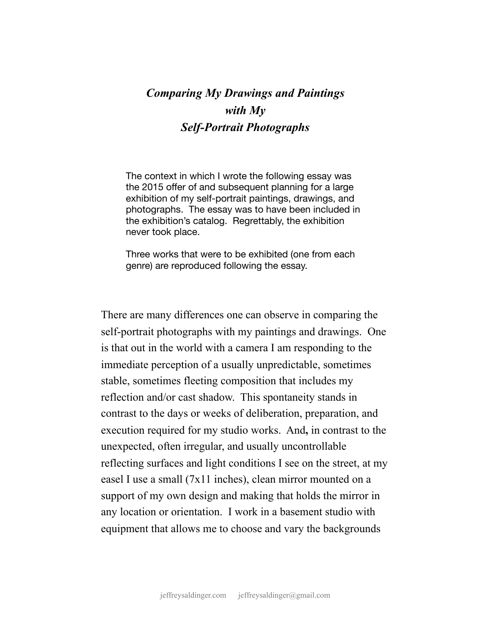## *Comparing My Drawings and Paintings with My Self-Portrait Photographs*

The context in which I wrote the following essay was the 2015 offer of and subsequent planning for a large exhibition of my self-portrait paintings, drawings, and photographs. The essay was to have been included in the exhibition's catalog. Regrettably, the exhibition never took place.

Three works that were to be exhibited (one from each genre) are reproduced following the essay.

There are many differences one can observe in comparing the self-portrait photographs with my paintings and drawings. One is that out in the world with a camera I am responding to the immediate perception of a usually unpredictable, sometimes stable, sometimes fleeting composition that includes my reflection and/or cast shadow. This spontaneity stands in contrast to the days or weeks of deliberation, preparation, and execution required for my studio works. And**,** in contrast to the unexpected, often irregular, and usually uncontrollable reflecting surfaces and light conditions I see on the street, at my easel I use a small (7x11 inches), clean mirror mounted on a support of my own design and making that holds the mirror in any location or orientation. I work in a basement studio with equipment that allows me to choose and vary the backgrounds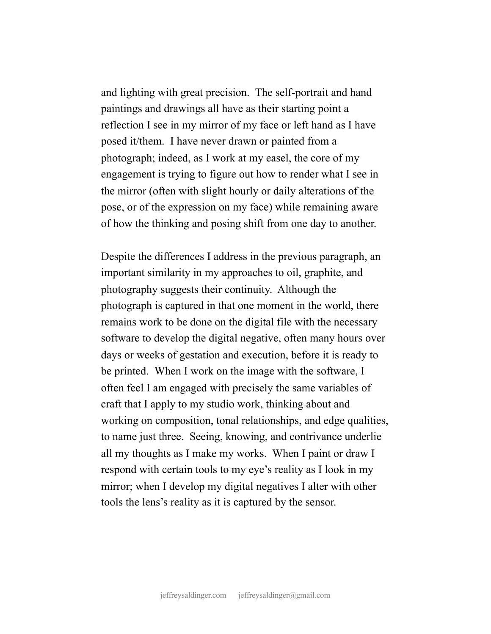and lighting with great precision. The self-portrait and hand paintings and drawings all have as their starting point a reflection I see in my mirror of my face or left hand as I have posed it/them. I have never drawn or painted from a photograph; indeed, as I work at my easel, the core of my engagement is trying to figure out how to render what I see in the mirror (often with slight hourly or daily alterations of the pose, or of the expression on my face) while remaining aware of how the thinking and posing shift from one day to another.

Despite the differences I address in the previous paragraph, an important similarity in my approaches to oil, graphite, and photography suggests their continuity. Although the photograph is captured in that one moment in the world, there remains work to be done on the digital file with the necessary software to develop the digital negative, often many hours over days or weeks of gestation and execution, before it is ready to be printed. When I work on the image with the software, I often feel I am engaged with precisely the same variables of craft that I apply to my studio work, thinking about and working on composition, tonal relationships, and edge qualities, to name just three. Seeing, knowing, and contrivance underlie all my thoughts as I make my works. When I paint or draw I respond with certain tools to my eye's reality as I look in my mirror; when I develop my digital negatives I alter with other tools the lens's reality as it is captured by the sensor.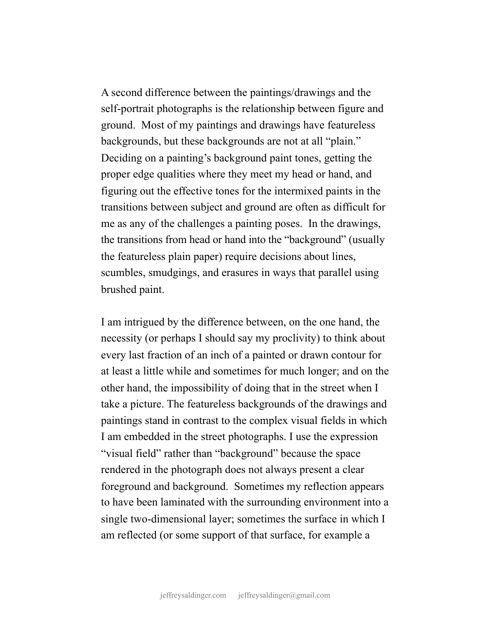A second difference between the paintings/drawings and the self-portrait photographs is the relationship between figure and ground. Most of my paintings and drawings have featureless backgrounds, but these backgrounds are not at all "plain." Deciding on a painting's background paint tones, getting the proper edge qualities where they meet my head or hand, and figuring out the effective tones for the intermixed paints in the transitions between subject and ground are often as difficult for me as any of the challenges a painting poses. In the drawings, the transitions from head or hand into the "background" (usually the featureless plain paper) require decisions about lines, scumbles, smudgings, and erasures in ways that parallel using brushed paint.

I am intrigued by the difference between, on the one hand, the necessity (or perhaps I should say my proclivity) to think about every last fraction of an inch of a painted or drawn contour for at least a little while and sometimes for much longer; and on the other hand, the impossibility of doing that in the street when I take a picture. The featureless backgrounds of the drawings and paintings stand in contrast to the complex visual fields in which I am embedded in the street photographs. I use the expression "visual field" rather than "background" because the space rendered in the photograph does not always present a clear foreground and background. Sometimes my reflection appears to have been laminated with the surrounding environment into a single two-dimensional layer; sometimes the surface in which I am reflected (or some support of that surface, for example a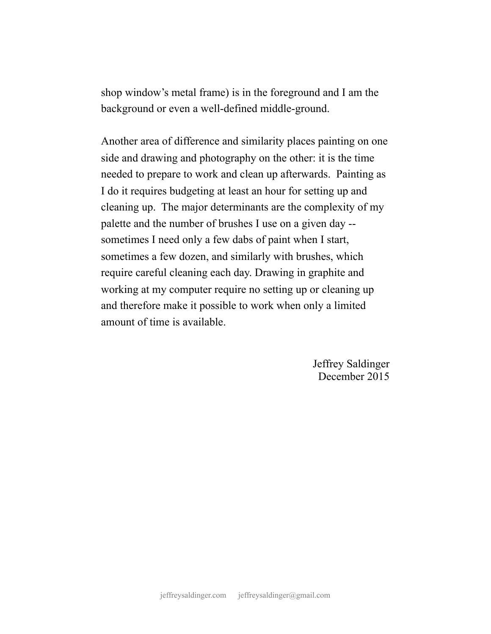shop window's metal frame) is in the foreground and I am the background or even a well-defined middle-ground.

Another area of difference and similarity places painting on one side and drawing and photography on the other: it is the time needed to prepare to work and clean up afterwards. Painting as I do it requires budgeting at least an hour for setting up and cleaning up. The major determinants are the complexity of my palette and the number of brushes I use on a given day - sometimes I need only a few dabs of paint when I start, sometimes a few dozen, and similarly with brushes, which require careful cleaning each day. Drawing in graphite and working at my computer require no setting up or cleaning up and therefore make it possible to work when only a limited amount of time is available.

> Jeffrey Saldinger December 2015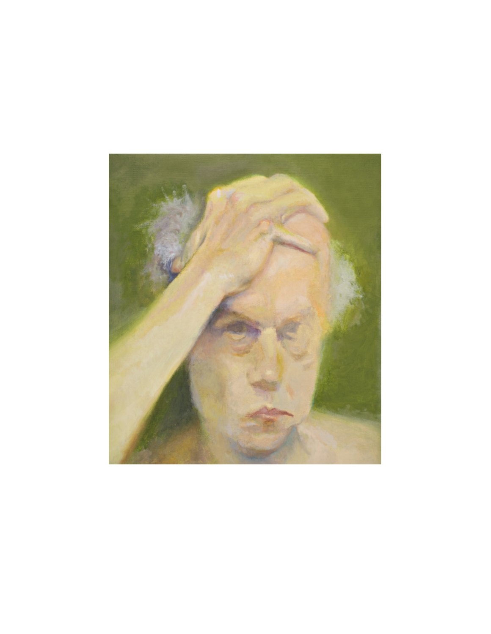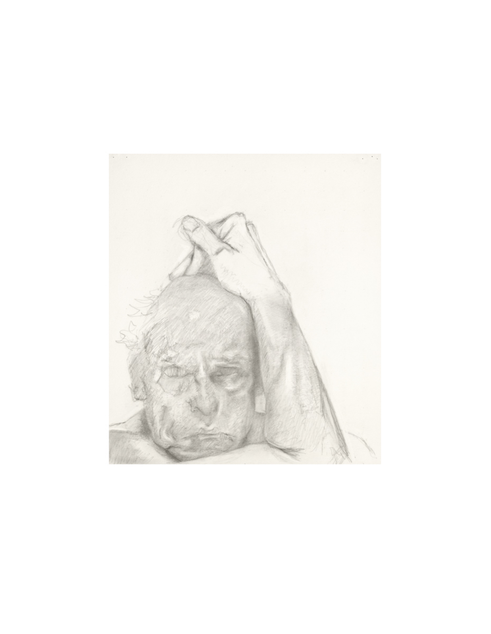